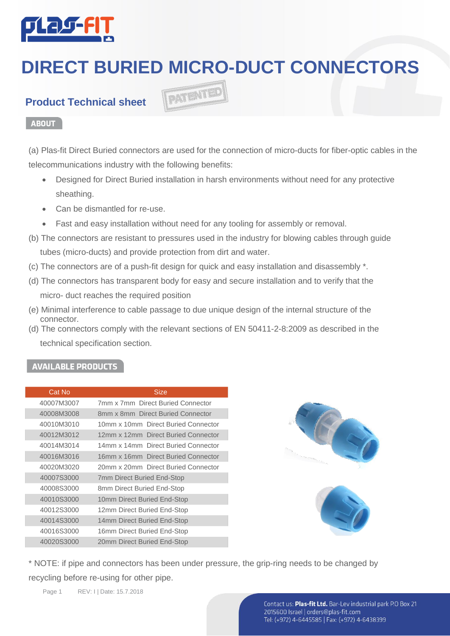

# **DIRECT BURIED MICRO-DUCT CONNECTORS**

### **Product Technical sheet**

#### **ABOUT**

(a) Plas-fit Direct Buried connectors are used for the connection of micro-ducts for fiber-optic cables in the telecommunications industry with the following benefits:

- Designed for Direct Buried installation in harsh environments without need for any protective sheathing.
- Can be dismantled for re-use.
- Fast and easy installation without need for any tooling for assembly or removal.

PATENTED

- (b) The connectors are resistant to pressures used in the industry for blowing cables through guide tubes (micro-ducts) and provide protection from dirt and water.
- (c) The connectors are of a push-fit design for quick and easy installation and disassembly \*.
- (d) The connectors has transparent body for easy and secure installation and to verify that the micro- duct reaches the required position
- (e) Minimal interference to cable passage to due unique design of the internal structure of the connector.
- (d) The connectors comply with the relevant sections of EN 50411-2-8:2009 as described in the technical specification section.

#### . **AVAILABLE PRODUCTS**

| Cat No     | <b>Size</b>                         |
|------------|-------------------------------------|
| 40007M3007 | 7mm x 7mm Direct Buried Connector   |
| 40008M3008 | 8mm x 8mm Direct Buried Connector   |
| 40010M3010 | 10mm x 10mm Direct Buried Connector |
| 40012M3012 | 12mm x 12mm Direct Buried Connector |
| 40014M3014 | 14mm x 14mm Direct Buried Connector |
| 40016M3016 | 16mm x 16mm Direct Buried Connector |
| 40020M3020 | 20mm x 20mm Direct Buried Connector |
| 40007S3000 | <b>7mm Direct Buried End-Stop</b>   |
| 40008S3000 | 8mm Direct Buried End-Stop          |
| 40010S3000 | 10mm Direct Buried End-Stop         |
| 40012S3000 | 12mm Direct Buried End-Stop         |
| 40014S3000 | 14mm Direct Buried End-Stop         |
| 40016S3000 | 16mm Direct Buried End-Stop         |
| 40020S3000 | 20mm Direct Buried End-Stop         |
|            |                                     |





\* NOTE: if pipe and connectors has been under pressure, the grip-ring needs to be changed by recycling before re-using for other pipe.

Page 1 REV: I | Date: 15.7.2018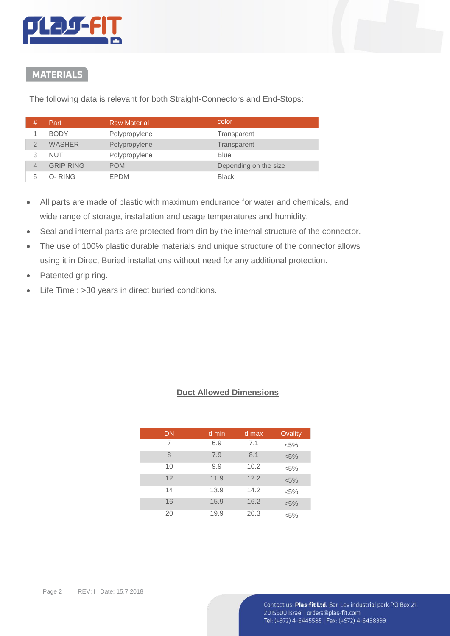

# **MATERIALS**

The following data is relevant for both Straight-Connectors and End-Stops:

| # | Part             | <b>Raw Material</b> | color                 |
|---|------------------|---------------------|-----------------------|
|   | <b>BODY</b>      | Polypropylene       | Transparent           |
|   | <b>WASHER</b>    | Polypropylene       | Transparent           |
| 3 | <b>NUT</b>       | Polypropylene       | <b>Blue</b>           |
| 4 | <b>GRIP RING</b> | <b>POM</b>          | Depending on the size |
| 5 | O-RING           | EPDM                | <b>Black</b>          |

- All parts are made of plastic with maximum endurance for water and chemicals, and wide range of storage, installation and usage temperatures and humidity.
- Seal and internal parts are protected from dirt by the internal structure of the connector.
- The use of 100% plastic durable materials and unique structure of the connector allows using it in Direct Buried installations without need for any additional protection.
- Patented grip ring.
- Life Time : >30 years in direct buried conditions.

#### **Duct Allowed Dimensions**

| <b>DN</b> | d min | d max | Ovality |
|-----------|-------|-------|---------|
| 7         | 6.9   | 7.1   | $< 5\%$ |
| 8         | 7.9   | 8.1   | $< 5\%$ |
| 10        | 9.9   | 10.2  | $< 5\%$ |
| 12        | 11.9  | 12.2  | $< 5\%$ |
| 14        | 13.9  | 14.2  | $< 5\%$ |
| 16        | 15.9  | 16.2  | $< 5\%$ |
| 20        | 19.9  | 20.3  | $< 5\%$ |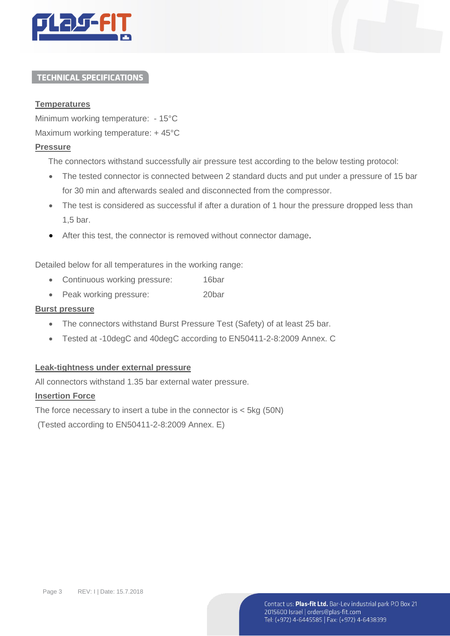

#### **TECHNICAL SPECIFICATIONS**

#### **Temperatures**

Minimum working temperature: - 15°C

Maximum working temperature: + 45°C

#### **Pressure**

The connectors withstand successfully air pressure test according to the below testing protocol:

- The tested connector is connected between 2 standard ducts and put under a pressure of 15 bar for 30 min and afterwards sealed and disconnected from the compressor.
- The test is considered as successful if after a duration of 1 hour the pressure dropped less than 1,5 bar.
- After this test, the connector is removed without connector damage.

Detailed below for all temperatures in the working range:

- Continuous working pressure: 16bar
- Peak working pressure: 20bar

#### **Burst pressure**

- The connectors withstand Burst Pressure Test (Safety) of at least 25 bar.
- Tested at -10degC and 40degC according to EN50411-2-8:2009 Annex. C

#### **Leak-tightness under external pressure**

All connectors withstand 1.35 bar external water pressure.

#### **Insertion Force**

The force necessary to insert a tube in the connector is < 5kg (50N)

(Tested according to EN50411-2-8:2009 Annex. E)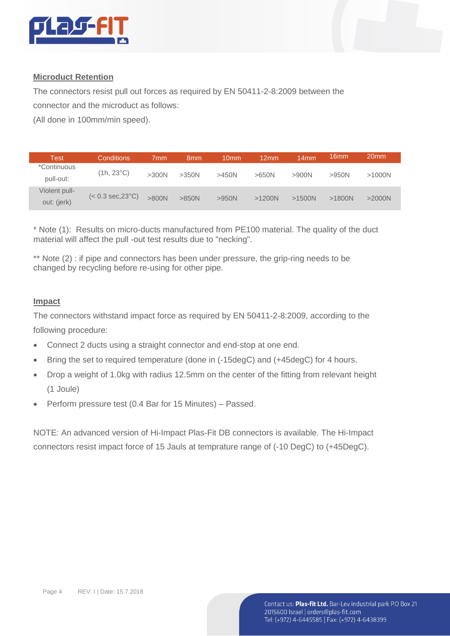

#### **Microduct Retention**

The connectors resist pull out forces as required by EN 50411-2-8:2009 between the

connector and the microduct as follows:

(All done in 100mm/min speed).

| Test          | Conditions                                | 7mm   | 8 <sub>mm</sub> | 10 <sub>mm</sub> | 12mm     | 14 <sub>mm</sub> | 16mm   | 20 <sub>mm</sub> |
|---------------|-------------------------------------------|-------|-----------------|------------------|----------|------------------|--------|------------------|
| *Continuous   | (1h, 23°C)                                | >300N |                 |                  | >650N    | >900N            | >950N  | $>1000N$         |
| pull-out:     |                                           |       | >350N           | >450N            |          |                  |        |                  |
| Violent pull- | $(< 0.3 \text{ sec}, 23^{\circ}\text{C})$ |       |                 |                  |          |                  |        |                  |
| out: (jerk)   |                                           | >800N | $>850N$         | >950N            | $>1200N$ | >1500N           | >1800N | $>2000N$         |

\* Note (1): Results on micro-ducts manufactured from PE100 material. The quality of the duct material will affect the pull -out test results due to "necking".

\*\* Note (2) : if pipe and connectors has been under pressure, the grip-ring needs to be changed by recycling before re-using for other pipe.

#### **Impact**

The connectors withstand impact force as required by EN 50411-2-8:2009, according to the following procedure:

- Connect 2 ducts using a straight connector and end-stop at one end.
- Bring the set to required temperature (done in (-15degC) and (+45degC) for 4 hours.
- Drop a weight of 1.0kg with radius 12.5mm on the center of the fitting from relevant height (1 Joule)
- Perform pressure test (0.4 Bar for 15 Minutes) Passed.

NOTE: An advanced version of Hi-Impact Plas-Fit DB connectors is available. The Hi-Impact connectors resist impact force of 15 Jauls at temprature range of (-10 DegC) to (+45DegC).